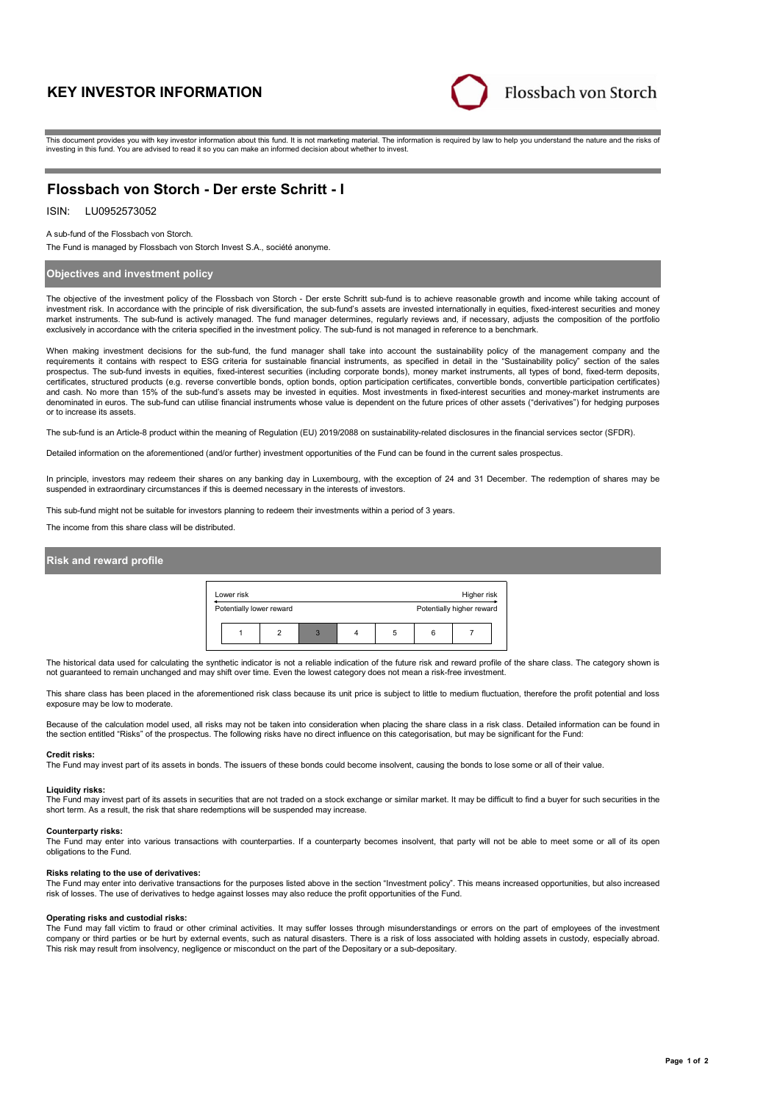# **KEY INVESTOR INFORMATION**



This document provides you with key investor information about this fund. It is not marketing material. The information is required by law to help you understand the nature and the risks of investing in this fund. You are advised to read it so you can make an informed decision about whether to invest.

# **Flossbach von Storch - Der erste Schritt - I**

## ISIN: LU0952573052

A sub-fund of the Flossbach von Storch.

The Fund is managed by Flossbach von Storch Invest S.A., société anonyme.

### **Objectives and investment policy**

The objective of the investment policy of the Flossbach von Storch - Der erste Schritt sub-fund is to achieve reasonable growth and income while taking account of investment risk. In accordance with the principle of risk diversification, the sub-fund's assets are invested internationally in equities, fixed-interest securities and money market instruments. The sub-fund is actively managed. The fund manager determines, regularly reviews and, if necessary, adjusts the composition of the portfolio exclusively in accordance with the criteria specified in the investment policy. The sub-fund is not managed in reference to a benchmark.

When making investment decisions for the sub-fund, the fund manager shall take into account the sustainability policy of the management company and the<br>requirements it contains with respect to ESG criteria for sustainable certificates, structured products (e.g. reverse convertible bonds, option bonds, option participation certificates, convertible bonds, convertible participation certificates) and cash. No more than 15% of the sub-fund's assets may be invested in equities. Most investments in fixed-interest securities and money-market instruments are denominated in euros. The sub-fund can utilise financial instruments whose value is dependent on the future prices of other assets ("derivatives") for hedging purposes or to increase its assets.

The sub-fund is an Article-8 product within the meaning of Regulation (EU) 2019/2088 on sustainability-related disclosures in the financial services sector (SFDR).

Detailed information on the aforementioned (and/or further) investment opportunities of the Fund can be found in the current sales prospectus.

In principle, investors may redeem their shares on any banking day in Luxembourg, with the exception of 24 and 31 December. The redemption of shares may be suspended in extraordinary circumstances if this is deemed necessary in the interests of investors.

This sub-fund might not be suitable for investors planning to redeem their investments within a period of 3 years

The income from this share class will be distributed.

### **Risk and reward profile**



The historical data used for calculating the synthetic indicator is not a reliable indication of the future risk and reward profile of the share class. The category shown is not guaranteed to remain unchanged and may shift over time. Even the lowest category does not mean a risk-free investment.

This share class has been placed in the aforementioned risk class because its unit price is subject to little to medium fluctuation, therefore the profit potential and loss exposure may be low to moderate.

Because of the calculation model used, all risks may not be taken into consideration when placing the share class in a risk class. Detailed information can be found in the section entitled "Risks" of the prospectus. The following risks have no direct influence on this categorisation, but may be significant for the Fund:

### **Credit risks:**

The Fund may invest part of its assets in bonds. The issuers of these bonds could become insolvent, causing the bonds to lose some or all of their value.

### **Liquidity risks:**

The Fund may invest part of its assets in securities that are not traded on a stock exchange or similar market. It may be difficult to find a buyer for such securities in the short term. As a result, the risk that share redemptions will be suspended may increase.

#### **Counterparty risks:**

The Fund may enter into various transactions with counterparties. If a counterparty becomes insolvent, that party will not be able to meet some or all of its open obligations to the Fund.

#### **Risks relating to the use of derivatives:**

The Fund may enter into derivative transactions for the purposes listed above in the section "Investment policy". This means increased opportunities, but also increased risk of losses. The use of derivatives to hedge against losses may also reduce the profit opportunities of the Fund.

### **Operating risks and custodial risks:**

The Fund may fall victim to fraud or other criminal activities. It may suffer losses through misunderstandings or errors on the part of employees of the investment company or third parties or be hurt by external events, such as natural disasters. There is a risk of loss associated with holding assets in custody, especially abroad. This risk may result from insolvency, negligence or misconduct on the part of the Depositary or a sub-depositary.